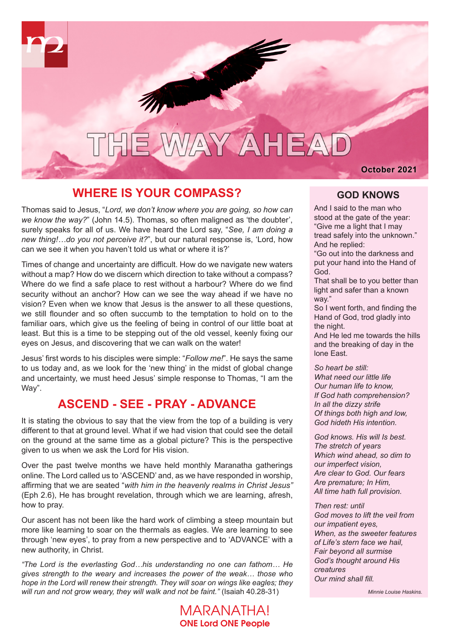

# THE WAY AHEAD

October 2021

#### **WHERE IS YOUR COMPASS?**

Thomas said to Jesus, "*Lord, we don't know where you are going, so how can we know the way?*" (John 14.5). Thomas, so often maligned as 'the doubter', surely speaks for all of us. We have heard the Lord say, "*See, I am doing a new thing!…do you not perceive it?*", but our natural response is, 'Lord, how can we see it when you haven't told us what or where it is?'

Times of change and uncertainty are difficult. How do we navigate new waters without a map? How do we discern which direction to take without a compass? Where do we find a safe place to rest without a harbour? Where do we find security without an anchor? How can we see the way ahead if we have no vision? Even when we know that Jesus is the answer to all these questions, we still flounder and so often succumb to the temptation to hold on to the familiar oars, which give us the feeling of being in control of our little boat at least. But this is a time to be stepping out of the old vessel, keenly fixing our eyes on Jesus, and discovering that we can walk on the water!

Jesus' first words to his disciples were simple: "*Follow me!*". He says the same to us today and, as we look for the 'new thing' in the midst of global change and uncertainty, we must heed Jesus' simple response to Thomas, "I am the Way".

## **ASCEND - SEE - PRAY - ADVANCE**

It is stating the obvious to say that the view from the top of a building is very different to that at ground level. What if we had vision that could see the detail on the ground at the same time as a global picture? This is the perspective given to us when we ask the Lord for His vision.

Over the past twelve months we have held monthly Maranatha gatherings online. The Lord called us to 'ASCEND' and, as we have responded in worship, affirming that we are seated "*with him in the heavenly realms in Christ Jesus"*  (Eph 2.6), He has brought revelation, through which we are learning, afresh, how to pray.

Our ascent has not been like the hard work of climbing a steep mountain but more like learning to soar on the thermals as eagles. We are learning to see through 'new eyes', to pray from a new perspective and to 'ADVANCE' with a new authority, in Christ.

*"The Lord is the everlasting God…his understanding no one can fathom… He gives strength to the weary and increases the power of the weak… those who hope in the Lord will renew their strength. They will soar on wings like eagles; they will run and not grow weary, they will walk and not be faint."* (Isaiah 40.28-31)

> MARANATHA! ONE Lord ONE People

#### **GOD KNOWS**

And I said to the man who stood at the gate of the year: "Give me a light that I may tread safely into the unknown." And he replied:

"Go out into the darkness and put your hand into the Hand of God.

That shall be to you better than light and safer than a known way."

So I went forth, and finding the Hand of God, trod gladly into the night.

And He led me towards the hills and the breaking of day in the lone East.

#### *So heart be still:*

*What need our little life Our human life to know, If God hath comprehension? In all the dizzy strife Of things both high and low, God hideth His intention.*

*God knows. His will Is best. The stretch of years Which wind ahead, so dim to our imperfect vision, Are clear to God. Our fears Are premature; In Him, All time hath full provision.*

#### *Then rest: until*

*God moves to lift the veil from our impatient eyes, When, as the sweeter features of Life's stern face we hail, Fair beyond all surmise God's thought around His creatures Our mind shall fill.*

*Minnie Louise Haskins.*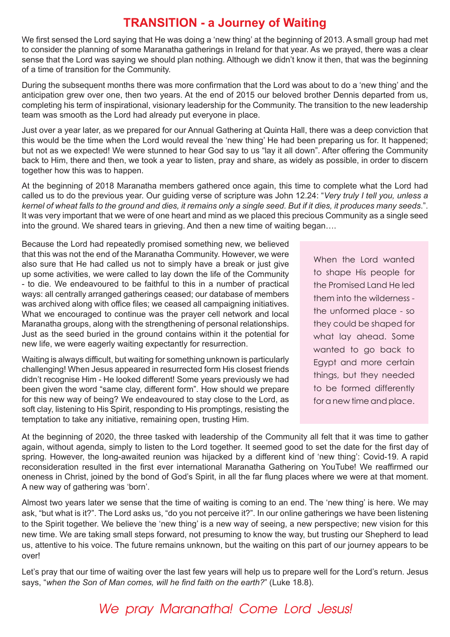## **TRANSITION - a Journey of Waiting**

We first sensed the Lord saying that He was doing a 'new thing' at the beginning of 2013. A small group had met to consider the planning of some Maranatha gatherings in Ireland for that year. As we prayed, there was a clear sense that the Lord was saying we should plan nothing. Although we didn't know it then, that was the beginning of a time of transition for the Community.

During the subsequent months there was more confirmation that the Lord was about to do a 'new thing' and the anticipation grew over one, then two years. At the end of 2015 our beloved brother Dennis departed from us, completing his term of inspirational, visionary leadership for the Community. The transition to the new leadership team was smooth as the Lord had already put everyone in place.

Just over a year later, as we prepared for our Annual Gathering at Quinta Hall, there was a deep conviction that this would be the time when the Lord would reveal the 'new thing' He had been preparing us for. It happened; but not as we expected! We were stunned to hear God say to us "lay it all down". After offering the Community back to Him, there and then, we took a year to listen, pray and share, as widely as possible, in order to discern together how this was to happen.

At the beginning of 2018 Maranatha members gathered once again, this time to complete what the Lord had called us to do the previous year. Our guiding verse of scripture was John 12.24: "*Very truly I tell you, unless a kernel of wheat falls to the ground and dies, it remains only a single seed. But if it dies, it produces many seeds*.". It was very important that we were of one heart and mind as we placed this precious Community as a single seed into the ground. We shared tears in grieving. And then a new time of waiting began….

Because the Lord had repeatedly promised something new, we believed that this was not the end of the Maranatha Community. However, we were also sure that He had called us not to simply have a break or just give up some activities, we were called to lay down the life of the Community - to die. We endeavoured to be faithful to this in a number of practical ways: all centrally arranged gatherings ceased; our database of members was archived along with office files; we ceased all campaigning initiatives. What we encouraged to continue was the prayer cell network and local Maranatha groups, along with the strengthening of personal relationships. Just as the seed buried in the ground contains within it the potential for new life, we were eagerly waiting expectantly for resurrection.

Waiting is always difficult, but waiting for something unknown is particularly challenging! When Jesus appeared in resurrected form His closest friends didn't recognise Him - He looked different! Some years previously we had been given the word "same clay, different form". How should we prepare for this new way of being? We endeavoured to stay close to the Lord, as soft clay, listening to His Spirit, responding to His promptings, resisting the temptation to take any initiative, remaining open, trusting Him.

When the Lord wanted to shape His people for the Promised Land He led them into the wilderness the unformed place - so they could be shaped for what lay ahead. Some wanted to go back to Egypt and more certain things, but they needed to be formed differently for a new time and place.

At the beginning of 2020, the three tasked with leadership of the Community all felt that it was time to gather again, without agenda, simply to listen to the Lord together. It seemed good to set the date for the first day of spring. However, the long-awaited reunion was hijacked by a different kind of 'new thing': Covid-19. A rapid reconsideration resulted in the first ever international Maranatha Gathering on YouTube! We reaffirmed our oneness in Christ, joined by the bond of God's Spirit, in all the far flung places where we were at that moment. A new way of gathering was 'born'.

Almost two years later we sense that the time of waiting is coming to an end. The 'new thing' is here. We may ask, "but what is it?". The Lord asks us, "do you not perceive it?". In our online gatherings we have been listening to the Spirit together. We believe the 'new thing' is a new way of seeing, a new perspective; new vision for this new time. We are taking small steps forward, not presuming to know the way, but trusting our Shepherd to lead us, attentive to his voice. The future remains unknown, but the waiting on this part of our journey appears to be over!

Let's pray that our time of waiting over the last few years will help us to prepare well for the Lord's return. Jesus says, "*when the Son of Man comes, will he find faith on the earth?*" (Luke 18.8).

## We pray Maranatha! Come Lord Jesus!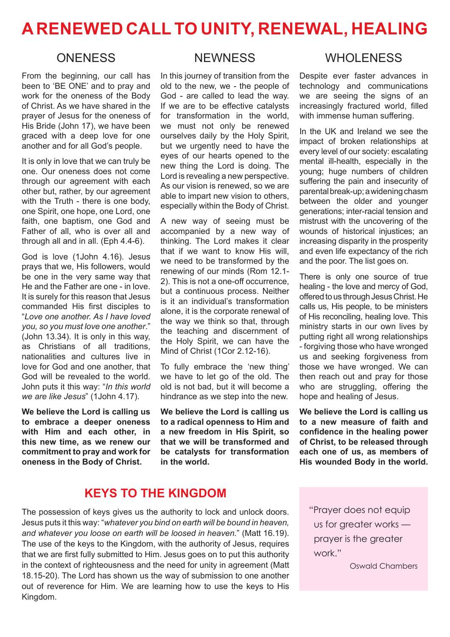# **A RENEWED CALL TO UNITY, RENEWAL, HEALING**

#### **ONENESS**

From the beginning, our call has been to 'BE ONE' and to pray and work for the oneness of the Body of Christ. As we have shared in the prayer of Jesus for the oneness of His Bride (John 17), we have been graced with a deep love for one another and for all God's people.

It is only in love that we can truly be one. Our oneness does not come through our agreement with each other but, rather, by our agreement with the Truth - there is one body, one Spirit, one hope, one Lord, one faith, one baptism, one God and Father of all, who is over all and through all and in all. (Eph 4.4-6).

God is love (1John 4.16). Jesus prays that we, His followers, would be one in the very same way that He and the Father are one - in love. It is surely for this reason that Jesus commanded His first disciples to "*Love one another. As I have loved you, so you must love one another*." (John 13.34). It is only in this way, as Christians of all traditions, nationalities and cultures live in love for God and one another, that God will be revealed to the world. John puts it this way: "*In this world we are like Jesus*" (1John 4.17).

**We believe the Lord is calling us to embrace a deeper oneness with Him and each other, in this new time, as we renew our commitment to pray and work for oneness in the Body of Christ.** 

#### **NEWNESS**

In this journey of transition from the old to the new, we - the people of God - are called to lead the way. If we are to be effective catalysts for transformation in the world, we must not only be renewed ourselves daily by the Holy Spirit, but we urgently need to have the eyes of our hearts opened to the new thing the Lord is doing. The Lord is revealing a new perspective. As our vision is renewed, so we are able to impart new vision to others, especially within the Body of Christ.

A new way of seeing must be accompanied by a new way of thinking. The Lord makes it clear that if we want to know His will, we need to be transformed by the renewing of our minds (Rom 12.1- 2). This is not a one-off occurrence, but a continuous process. Neither is it an individual's transformation alone, it is the corporate renewal of the way we think so that, through the teaching and discernment of the Holy Spirit, we can have the Mind of Christ (1Cor 2.12-16).

To fully embrace the 'new thing' we have to let go of the old. The old is not bad, but it will become a hindrance as we step into the new.

**We believe the Lord is calling us to a radical openness to Him and a new freedom in His Spirit, so that we will be transformed and be catalysts for transformation in the world.**

#### WHOL FNESS

Despite ever faster advances in technology and communications we are seeing the signs of an increasingly fractured world, filled with immense human suffering.

In the UK and Ireland we see the impact of broken relationships at every level of our society: escalating mental ill-health, especially in the young; huge numbers of children suffering the pain and insecurity of parental break-up; a widening chasm between the older and younger generations; inter-racial tension and mistrust with the uncovering of the wounds of historical injustices; an increasing disparity in the prosperity and even life expectancy of the rich and the poor. The list goes on.

There is only one source of true healing - the love and mercy of God, offered to us through Jesus Christ. He calls us, His people, to be ministers of His reconciling, healing love. This ministry starts in our own lives by putting right all wrong relationships - forgiving those who have wronged us and seeking forgiveness from those we have wronged. We can then reach out and pray for those who are struggling, offering the hope and healing of Jesus.

**We believe the Lord is calling us to a new measure of faith and confidence in the healing power of Christ, to be released through each one of us, as members of His wounded Body in the world.**

#### **KEYS TO THE KINGDOM**

The possession of keys gives us the authority to lock and unlock doors. Jesus puts it this way: "*whatever you bind on earth will be bound in heaven, and whatever you loose on earth will be loosed in heaven.*" (Matt 16.19). The use of the keys to the Kingdom, with the authority of Jesus, requires that we are first fully submitted to Him. Jesus goes on to put this authority in the context of righteousness and the need for unity in agreement (Matt 18.15-20). The Lord has shown us the way of submission to one another out of reverence for Him. We are learning how to use the keys to His Kingdom.

"Prayer does not equip us for greater works prayer is the greater work."

Oswald Chambers